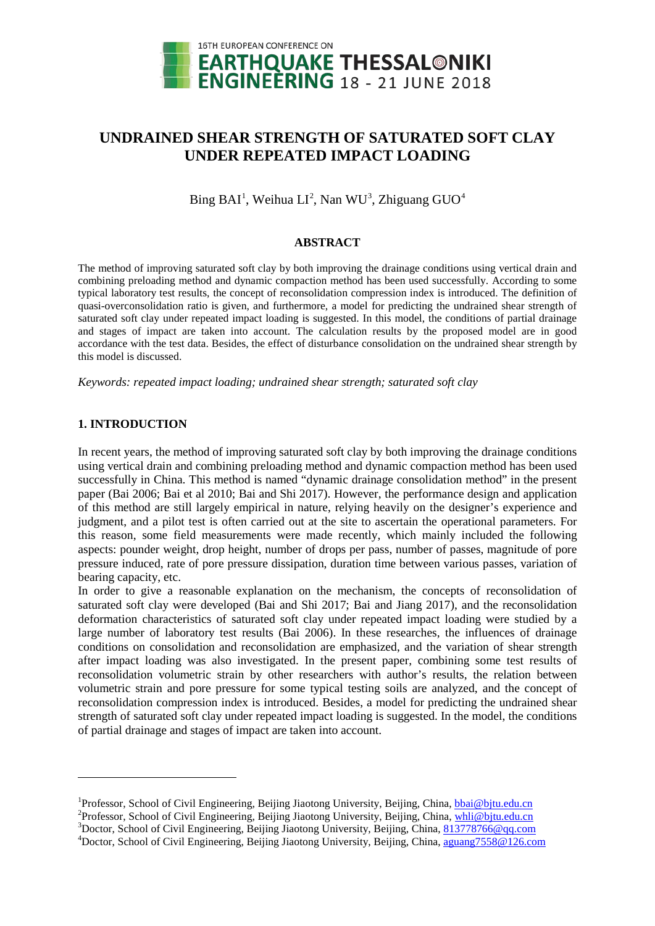

# **UNDRAINED SHEAR STRENGTH OF SATURATED SOFT CLAY UNDER REPEATED IMPACT LOADING**

 $\text{Bing BAI}^1$  $\text{Bing BAI}^1$ , Weihua  $\text{LI}^2$  $\text{LI}^2$ , Nan WU<sup>[3](#page-0-2)</sup>, Zhiguang GUO<sup>[4](#page-0-3)</sup>

# **ABSTRACT**

The method of improving saturated soft clay by both improving the drainage conditions using vertical drain and combining preloading method and dynamic compaction method has been used successfully. According to some typical laboratory test results, the concept of reconsolidation compression index is introduced. The definition of quasi-overconsolidation ratio is given, and furthermore, a model for predicting the undrained shear strength of saturated soft clay under repeated impact loading is suggested. In this model, the conditions of partial drainage and stages of impact are taken into account. The calculation results by the proposed model are in good accordance with the test data. Besides, the effect of disturbance consolidation on the undrained shear strength by this model is discussed.

*Keywords: repeated impact loading; undrained shear strength; saturated soft clay*

# **1. INTRODUCTION**

-

In recent years, the method of improving saturated soft clay by both improving the drainage conditions using vertical drain and combining preloading method and dynamic compaction method has been used successfully in China. This method is named "dynamic drainage consolidation method" in the present paper (Bai 2006; Bai et al 2010; Bai and Shi 2017). However, the performance design and application of this method are still largely empirical in nature, relying heavily on the designer's experience and judgment, and a pilot test is often carried out at the site to ascertain the operational parameters. For this reason, some field measurements were made recently, which mainly included the following aspects: pounder weight, drop height, number of drops per pass, number of passes, magnitude of pore pressure induced, rate of pore pressure dissipation, duration time between various passes, variation of bearing capacity, etc.

In order to give a reasonable explanation on the mechanism, the concepts of reconsolidation of saturated soft clay were developed (Bai and Shi 2017; Bai and Jiang 2017), and the reconsolidation deformation characteristics of saturated soft clay under repeated impact loading were studied by a large number of laboratory test results (Bai 2006). In these researches, the influences of drainage conditions on consolidation and reconsolidation are emphasized, and the variation of shear strength after impact loading was also investigated. In the present paper, combining some test results of reconsolidation volumetric strain by other researchers with author's results, the relation between volumetric strain and pore pressure for some typical testing soils are analyzed, and the concept of reconsolidation compression index is introduced. Besides, a model for predicting the undrained shear strength of saturated soft clay under repeated impact loading is suggested. In the model, the conditions of partial drainage and stages of impact are taken into account.

<span id="page-0-0"></span><sup>&</sup>lt;sup>1</sup>Professor, School of Civil Engineering, Beijing Jiaotong University, Beijing, China, [bbai@bjtu.edu.cn](mailto:emailaddress1@canterbury.ac.nz) <sup>2</sup>Professor, School of Civil Engineering, Beijing Jiaotong University, Beijing, China, whil@bitu.edu.cn

<span id="page-0-1"></span><sup>&</sup>lt;sup>2</sup>Professor, School of Civil Engineering, Beijing Jiaotong University, Beijing, China, whl[i@bjtu.edu.cn](mailto:emailaddress1@canterbury.ac.nz)

<span id="page-0-2"></span><sup>&</sup>lt;sup>3</sup>Doctor, School of Civil Engineering, Beijing Jiaotong University, Beijing, China, 813778766@qq.com

<span id="page-0-3"></span><sup>&</sup>lt;sup>4</sup>Doctor, School of Civil Engineering, Beijing Jiaotong University, Beijing, China, aguang7558@126.com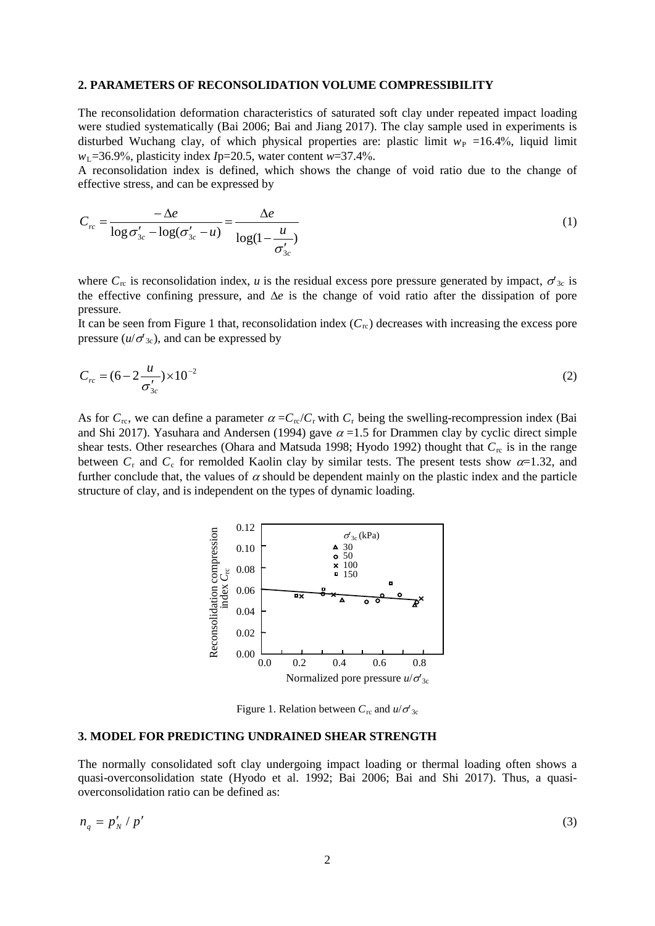### **2. PARAMETERS OF RECONSOLIDATION VOLUME COMPRESSIBILITY**

The reconsolidation deformation characteristics of saturated soft clay under repeated impact loading were studied systematically (Bai 2006; Bai and Jiang 2017). The clay sample used in experiments is disturbed Wuchang clay, of which physical properties are: plastic limit  $w_P = 16.4\%$ , liquid limit  $w_L$ =36.9%, plasticity index *I*p=20.5, water content  $w=37.4\%$ .

A reconsolidation index is defined, which shows the change of void ratio due to the change of effective stress, and can be expressed by

$$
C_{rc} = \frac{-\Delta e}{\log \sigma'_{3c} - \log(\sigma'_{3c} - u)} = \frac{\Delta e}{\log(1 - \frac{u}{\sigma'_{3c}})}
$$
(1)

where  $C_{\text{rc}}$  is reconsolidation index, *u* is the residual excess pore pressure generated by impact,  $\sigma_{3c}$  is the effective confining pressure, and ∆*e* is the change of void ratio after the dissipation of pore pressure.

It can be seen from Figure 1 that, reconsolidation index  $(C_{\text{rc}})$  decreases with increasing the excess pore pressure  $(u/\sigma_{3c})$ , and can be expressed by

$$
C_{rc} = (6 - 2\frac{u}{\sigma'_{3c}}) \times 10^{-2}
$$
 (2)

As for  $C_{\text{rc}}$ , we can define a parameter  $\alpha = C_{\text{rc}}/C_{\text{r}}$  with  $C_{\text{r}}$  being the swelling-recompression index (Bai and Shi 2017). Yasuhara and Andersen (1994) gave  $\alpha$  =1.5 for Drammen clay by cyclic direct simple shear tests. Other researches (Ohara and Matsuda 1998; Hyodo 1992) thought that  $C_{\text{rc}}$  is in the range between  $C_r$  and  $C_c$  for remolded Kaolin clay by similar tests. The present tests show  $\alpha$ =1.32, and further conclude that, the values of  $\alpha$  should be dependent mainly on the plastic index and the particle structure of clay, and is independent on the types of dynamic loading.



Figure 1. Relation between  $C_{\text{rc}}$  and  $u/\sigma'_{3c}$ 

#### **3. MODEL FOR PREDICTING UNDRAINED SHEAR STRENGTH**

The normally consolidated soft clay undergoing impact loading or thermal loading often shows a quasi-overconsolidation state (Hyodo et al. 1992; Bai 2006; Bai and Shi 2017). Thus, a quasioverconsolidation ratio can be defined as:

$$
n_q = p'_N / p' \tag{3}
$$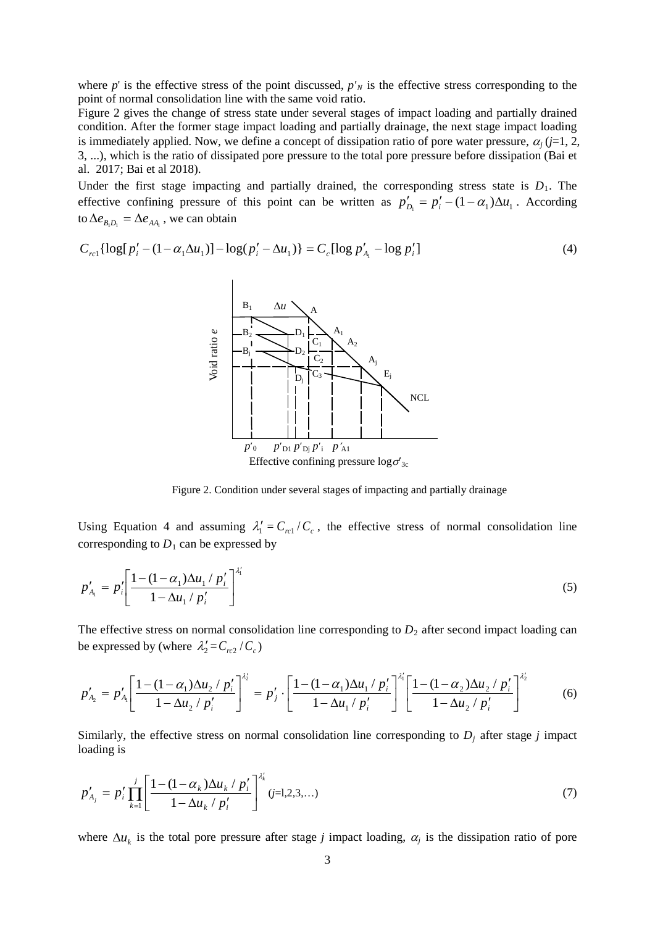where  $p'$  is the effective stress of the point discussed,  $p'_{N}$  is the effective stress corresponding to the point of normal consolidation line with the same void ratio.

Figure 2 gives the change of stress state under several stages of impact loading and partially drained condition. After the former stage impact loading and partially drainage, the next stage impact loading is immediately applied. Now, we define a concept of dissipation ratio of pore water pressure,  $\alpha_i$  (*j*=1, 2, 3, ...), which is the ratio of dissipated pore pressure to the total pore pressure before dissipation (Bai et al. 2017; Bai et al 2018).

Under the first stage impacting and partially drained, the corresponding stress state is  $D_1$ . The effective confining pressure of this point can be written as  $p'_{D_1} = p'_i - (1 - \alpha_1) \Delta u_1$ . According to  $\Delta e_{B_1D_1} = \Delta e_{AA_1}$ , we can obtain

$$
C_{rcl} \{ \log[p'_i - (1 - \alpha_1 \Delta u_1)] - \log(p'_i - \Delta u_1) \} = C_c [\log p'_A - \log p'_i] \tag{4}
$$



Figure 2. Condition under several stages of impacting and partially drainage

Using Equation 4 and assuming  $\lambda'_1 = C_{rel}/C_c$ , the effective stress of normal consolidation line corresponding to  $D_1$  can be expressed by

$$
p'_{A_i} = p'_i \left[ \frac{1 - (1 - \alpha_1) \Delta u_1 / p'_i}{1 - \Delta u_1 / p'_i} \right]^{A'_i}
$$
 (5)

The effective stress on normal consolidation line corresponding to  $D_2$  after second impact loading can be expressed by (where  $\lambda'_2 = C_{rc2}/C_c$ )

$$
p'_{A_2} = p'_{A_1} \left[ \frac{1 - (1 - \alpha_1) \Delta u_2 / p'_i}{1 - \Delta u_2 / p'_i} \right]^{A'_2} = p'_j \cdot \left[ \frac{1 - (1 - \alpha_1) \Delta u_1 / p'_i}{1 - \Delta u_1 / p'_i} \right]^{A'_1} \left[ \frac{1 - (1 - \alpha_2) \Delta u_2 / p'_i}{1 - \Delta u_2 / p'_i} \right]^{A'_2} \tag{6}
$$

Similarly, the effective stress on normal consolidation line corresponding to  $D_j$  after stage  $j$  impact loading is

$$
p'_{A_j} = p'_i \prod_{k=1}^j \left[ \frac{1 - (1 - \alpha_k) \Delta u_k / p'_i}{1 - \Delta u_k / p'_i} \right]^{A'_k} (j=1,2,3,...)
$$
 (7)

where  $\Delta u_k$  is the total pore pressure after stage *j* impact loading,  $\alpha_j$  is the dissipation ratio of pore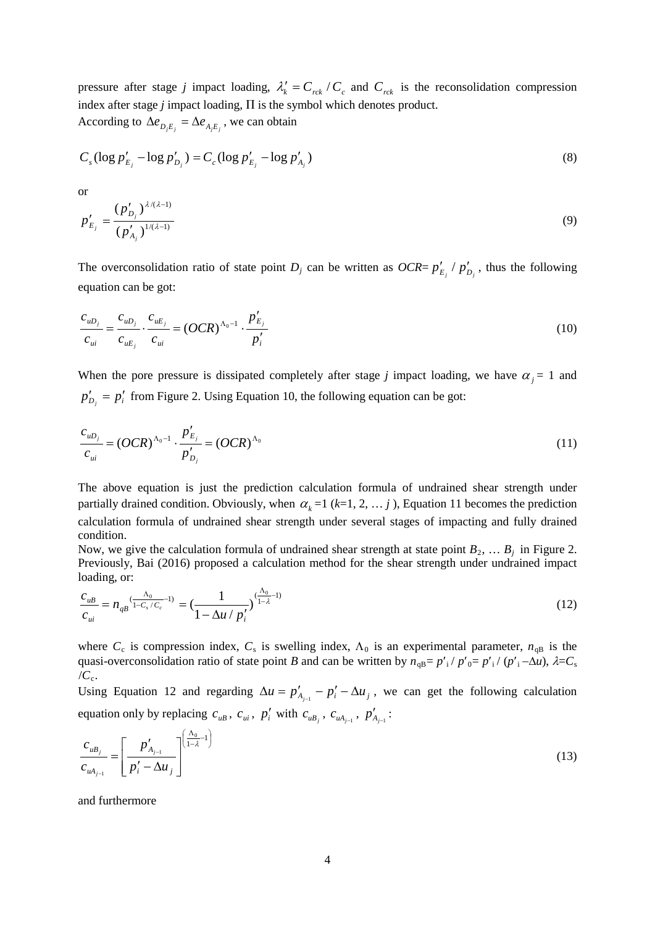pressure after stage *j* impact loading,  $\lambda'_k = C_{rck} / C_c$  and  $C_{rck}$  is the reconsolidation compression index after stage  $j$  impact loading,  $\Pi$  is the symbol which denotes product. According to  $\Delta e_{D_iE_i} = \Delta e_{A_iE_i}$ , we can obtain

$$
C_s (\log p'_{E_j} - \log p'_{D_j}) = C_c (\log p'_{E_j} - \log p'_{A_j})
$$
\n(8)

or

$$
p'_{E_j} = \frac{(p'_{D_j})^{\lambda/(\lambda-1)}}{(p'_{A_j})^{1/(\lambda-1)}}
$$
\n(9)

The overconsolidation ratio of state point *D<sub>j</sub>* can be written as  $OCR = p'_{E_i} / p'_{D_i}$ , thus the following equation can be got:

$$
\frac{c_{uD_j}}{c_{ui}} = \frac{c_{uD_j}}{c_{uE_j}} \cdot \frac{c_{uE_j}}{c_{ui}} = (OCR)^{\Lambda_0 - 1} \cdot \frac{p'_{E_j}}{p'_i}
$$
\n(10)

When the pore pressure is dissipated completely after stage *j* impact loading, we have  $\alpha_j = 1$  and  $p'_{D_i} = p'_i$  from Figure 2. Using Equation 10, the following equation can be got:

$$
\frac{c_{\mu D_j}}{c_{\mu i}} = (OCR)^{\Lambda_0 - 1} \cdot \frac{p'_{E_j}}{p'_{D_j}} = (OCR)^{\Lambda_0}
$$
\n(11)

The above equation is just the prediction calculation formula of undrained shear strength under partially drained condition. Obviously, when  $\alpha_k = 1$  ( $k=1, 2, \ldots, j$ ), Equation 11 becomes the prediction calculation formula of undrained shear strength under several stages of impacting and fully drained condition.

Now, we give the calculation formula of undrained shear strength at state point  $B_2, \ldots, B_j$  in Figure 2. Previously, Bai (2016) proposed a calculation method for the shear strength under undrained impact loading, or:

$$
\frac{c_{uB}}{c_{ui}} = n_{qB} \frac{( \frac{\Lambda_0}{1 - C_s / C_c} - 1)}{1 - \Delta u / p'_i} = \left( \frac{1}{1 - \Delta u / p'_i} \right)^{\left( \frac{\Lambda_0}{1 - \lambda} - 1 \right)} \tag{12}
$$

where  $C_c$  is compression index,  $C_s$  is swelling index,  $\Lambda_0$  is an experimental parameter,  $n_{\text{dB}}$  is the quasi-overconsolidation ratio of state point *B* and can be written by  $n_{qB} = p'$ <sub>i</sub> /  $p'$ <sub>0</sub>=  $p'$ <sub>i</sub> /  $(p'$ <sub>i</sub> −∆*u*),  $\lambda = C_s$  $/C_c$ .

Using Equation 12 and regarding  $\Delta u = p'_{A_{i-1}} - p'_i - \Delta u_i$ , we can get the following calculation equation only by replacing  $c_{uB}$ ,  $c_{ui}$ ,  $p'_i$  with  $c_{uB_j}$ ,  $c_{uA_{j-1}}$ ,  $p'_{A_{j-1}}$ :

$$
\frac{c_{uB_j}}{c_{uA_{j-1}}} = \left[ \frac{p'_{A_{j-1}}}{p'_i - \Delta u_j} \right]^{\left( \frac{\Delta_0}{1 - \lambda} - 1 \right)} \tag{13}
$$

and furthermore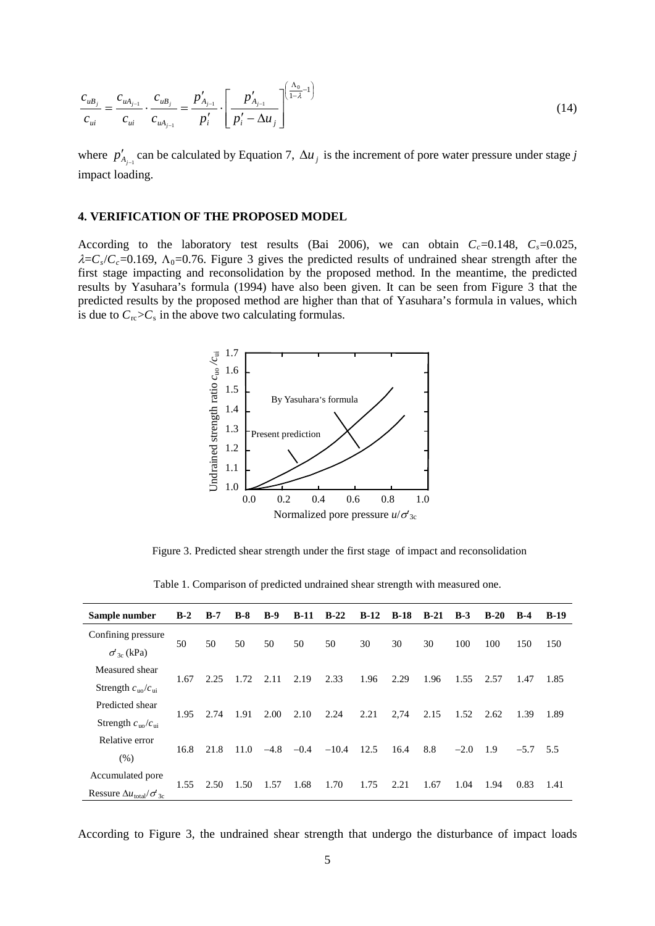$$
\frac{c_{uB_j}}{c_{ui}} = \frac{c_{uA_{j-1}}}{c_{ui}} \cdot \frac{c_{uB_j}}{c_{uA_{j-1}}} = \frac{p'_{A_{j-1}}}{p'_i} \cdot \left[ \frac{p'_{A_{j-1}}}{p'_i - \Delta u_j} \right]^{\left(\frac{\Delta_0}{1-\lambda} - 1\right)} \tag{14}
$$

where  $p'_{A_{j-1}}$  can be calculated by Equation 7,  $\Delta u_j$  is the increment of pore water pressure under stage *j* impact loading.

#### **4. VERIFICATION OF THE PROPOSED MODEL**

According to the laboratory test results (Bai 2006), we can obtain  $C_c$ =0.148,  $C_s$ =0.025,  $\lambda = C_s/C_c = 0.169$ ,  $\Lambda_0 = 0.76$ . Figure 3 gives the predicted results of undrained shear strength after the first stage impacting and reconsolidation by the proposed method. In the meantime, the predicted results by Yasuhara's formula (1994) have also been given. It can be seen from Figure 3 that the predicted results by the proposed method are higher than that of Yasuhara's formula in values, which is due to  $C_{\text{rc}} > C_{\text{s}}$  in the above two calculating formulas.



Figure 3. Predicted shear strength under the first stage of impact and reconsolidation

| Sample number                                                     | $B-2$ | $B-7$ | $B-8$ | $B-9$  | $B-11$ | $B-22$  | $B-12$ | $B-18$ | $B-21$ | $B-3$  | $B-20$ | $B-4$  | <b>B-19</b> |
|-------------------------------------------------------------------|-------|-------|-------|--------|--------|---------|--------|--------|--------|--------|--------|--------|-------------|
| Confining pressure<br>$\sigma'$ <sub>30</sub> (kPa)               | 50    | 50    | 50    | 50     | 50     | 50      | 30     | 30     | 30     | 100    | 100    | 150    | 150         |
| Measured shear<br>Strength $c_{\text{uo}}/c_{\text{ui}}$          | 1.67  | 2.25  | 1.72  | 2.11   | 2.19   | 2.33    | 1.96   | 2.29   | 1.96   | 1.55   | 2.57   | 1.47   | 1.85        |
| Predicted shear<br>Strength $c_{\text{uo}}/c_{\text{ni}}$         | 1.95  | 2.74  | 1.91  | 2.00   | 2.10   | 2.24    | 2.21   | 2,74   | 2.15   | 1.52   | 2.62   | 1.39   | 1.89        |
| Relative error<br>(% )                                            | 16.8  | 21.8  | 11.0  | $-4.8$ | $-0.4$ | $-10.4$ | 12.5   | 16.4   | 8.8    | $-2.0$ | 1.9    | $-5.7$ | 5.5         |
| Accumulated pore<br>Ressure $\Delta u_{\text{total}}/\sigma_{3c}$ | 1.55  | 2.50  | 1.50  | 1.57   | 1.68   | 1.70    | 1.75   | 2.21   | 1.67   | 1.04   | 1.94   | 0.83   | 1.41        |

Table 1. Comparison of predicted undrained shear strength with measured one.

According to Figure 3, the undrained shear strength that undergo the disturbance of impact loads